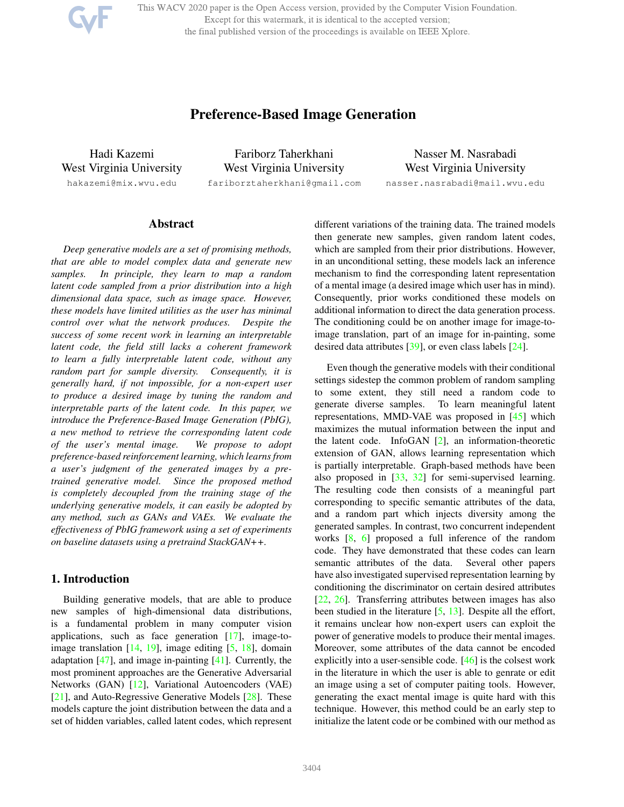This WACV 2020 paper is the Open Access version, provided by the Computer Vision Foundation. Except for this watermark, it is identical to the accepted version; the final published version of the proceedings is available on IEEE Xplore.

# Preference-Based Image Generation

Hadi Kazemi West Virginia University

hakazemi@mix.wvu.edu

Fariborz Taherkhani West Virginia University fariborztaherkhani@gmail.com

Nasser M. Nasrabadi West Virginia University nasser.nasrabadi@mail.wvu.edu

Abstract

*Deep generative models are a set of promising methods, that are able to model complex data and generate new samples. In principle, they learn to map a random latent code sampled from a prior distribution into a high dimensional data space, such as image space. However, these models have limited utilities as the user has minimal control over what the network produces. Despite the success of some recent work in learning an interpretable latent code, the field still lacks a coherent framework to learn a fully interpretable latent code, without any random part for sample diversity. Consequently, it is generally hard, if not impossible, for a non-expert user to produce a desired image by tuning the random and interpretable parts of the latent code. In this paper, we introduce the Preference-Based Image Generation (PbIG), a new method to retrieve the corresponding latent code of the user's mental image. We propose to adopt preference-based reinforcement learning, which learns from a user's judgment of the generated images by a pretrained generative model. Since the proposed method is completely decoupled from the training stage of the underlying generative models, it can easily be adopted by any method, such as GANs and VAEs. We evaluate the effectiveness of PbIG framework using a set of experiments on baseline datasets using a pretraind StackGAN++.*

# 1. Introduction

Building generative models, that are able to produce new samples of high-dimensional data distributions, is a fundamental problem in many computer vision applications, such as face generation [17], image-toimage translation  $[14, 19]$ , image editing  $[5, 18]$ , domain adaptation  $[47]$ , and image in-painting  $[41]$ . Currently, the most prominent approaches are the Generative Adversarial Networks (GAN) [12], Variational Autoencoders (VAE) [21], and Auto-Regressive Generative Models [28]. These models capture the joint distribution between the data and a set of hidden variables, called latent codes, which represent different variations of the training data. The trained models then generate new samples, given random latent codes, which are sampled from their prior distributions. However, in an unconditional setting, these models lack an inference mechanism to find the corresponding latent representation of a mental image (a desired image which user has in mind). Consequently, prior works conditioned these models on additional information to direct the data generation process. The conditioning could be on another image for image-toimage translation, part of an image for in-painting, some desired data attributes [39], or even class labels [24].

Even though the generative models with their conditional settings sidestep the common problem of random sampling to some extent, they still need a random code to generate diverse samples. To learn meaningful latent representations, MMD-VAE was proposed in [45] which maximizes the mutual information between the input and the latent code. InfoGAN [2], an information-theoretic extension of GAN, allows learning representation which is partially interpretable. Graph-based methods have been also proposed in [33, 32] for semi-supervised learning. The resulting code then consists of a meaningful part corresponding to specific semantic attributes of the data, and a random part which injects diversity among the generated samples. In contrast, two concurrent independent works [8, 6] proposed a full inference of the random code. They have demonstrated that these codes can learn semantic attributes of the data. Several other papers have also investigated supervised representation learning by conditioning the discriminator on certain desired attributes [22, 26]. Transferring attributes between images has also been studied in the literature [5, 13]. Despite all the effort, it remains unclear how non-expert users can exploit the power of generative models to produce their mental images. Moreover, some attributes of the data cannot be encoded explicitly into a user-sensible code. [46] is the colsest work in the literature in which the user is able to genrate or edit an image using a set of computer paiting tools. However, generating the exact mental image is quite hard with this technique. However, this method could be an early step to initialize the latent code or be combined with our method as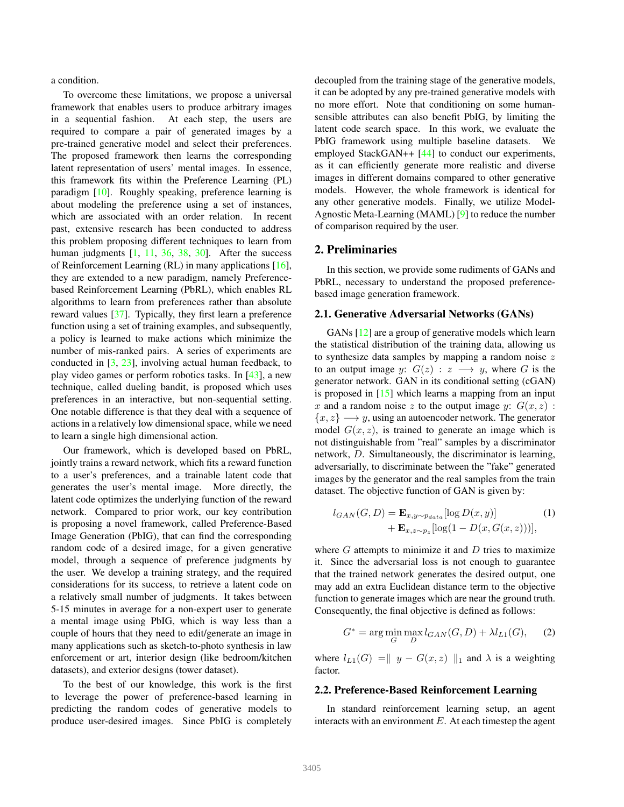a condition.

To overcome these limitations, we propose a universal framework that enables users to produce arbitrary images in a sequential fashion. At each step, the users are required to compare a pair of generated images by a pre-trained generative model and select their preferences. The proposed framework then learns the corresponding latent representation of users' mental images. In essence, this framework fits within the Preference Learning (PL) paradigm [10]. Roughly speaking, preference learning is about modeling the preference using a set of instances, which are associated with an order relation. In recent past, extensive research has been conducted to address this problem proposing different techniques to learn from human judgments  $[1, 11, 36, 38, 30]$ . After the success of Reinforcement Learning (RL) in many applications [16], they are extended to a new paradigm, namely Preferencebased Reinforcement Learning (PbRL), which enables RL algorithms to learn from preferences rather than absolute reward values [37]. Typically, they first learn a preference function using a set of training examples, and subsequently, a policy is learned to make actions which minimize the number of mis-ranked pairs. A series of experiments are conducted in [3, 23], involving actual human feedback, to play video games or perform robotics tasks. In [43], a new technique, called dueling bandit, is proposed which uses preferences in an interactive, but non-sequential setting. One notable difference is that they deal with a sequence of actions in a relatively low dimensional space, while we need to learn a single high dimensional action.

Our framework, which is developed based on PbRL, jointly trains a reward network, which fits a reward function to a user's preferences, and a trainable latent code that generates the user's mental image. More directly, the latent code optimizes the underlying function of the reward network. Compared to prior work, our key contribution is proposing a novel framework, called Preference-Based Image Generation (PbIG), that can find the corresponding random code of a desired image, for a given generative model, through a sequence of preference judgments by the user. We develop a training strategy, and the required considerations for its success, to retrieve a latent code on a relatively small number of judgments. It takes between 5-15 minutes in average for a non-expert user to generate a mental image using PbIG, which is way less than a couple of hours that they need to edit/generate an image in many applications such as sketch-to-photo synthesis in law enforcement or art, interior design (like bedroom/kitchen datasets), and exterior designs (tower dataset).

To the best of our knowledge, this work is the first to leverage the power of preference-based learning in predicting the random codes of generative models to produce user-desired images. Since PbIG is completely

decoupled from the training stage of the generative models, it can be adopted by any pre-trained generative models with no more effort. Note that conditioning on some humansensible attributes can also benefit PbIG, by limiting the latent code search space. In this work, we evaluate the PbIG framework using multiple baseline datasets. We employed StackGAN++ [44] to conduct our experiments, as it can efficiently generate more realistic and diverse images in different domains compared to other generative models. However, the whole framework is identical for any other generative models. Finally, we utilize Model-Agnostic Meta-Learning (MAML) [9] to reduce the number of comparison required by the user.

## 2. Preliminaries

In this section, we provide some rudiments of GANs and PbRL, necessary to understand the proposed preferencebased image generation framework.

## 2.1. Generative Adversarial Networks (GANs)

GANs [12] are a group of generative models which learn the statistical distribution of the training data, allowing us to synthesize data samples by mapping a random noise  $z$ to an output image y:  $G(z) : z \longrightarrow y$ , where G is the generator network. GAN in its conditional setting (cGAN) is proposed in [15] which learns a mapping from an input x and a random noise z to the output image y:  $G(x, z)$ :  ${x, z} \rightarrow y$ , using an autoencoder network. The generator model  $G(x, z)$ , is trained to generate an image which is not distinguishable from "real" samples by a discriminator network, D. Simultaneously, the discriminator is learning, adversarially, to discriminate between the "fake" generated images by the generator and the real samples from the train dataset. The objective function of GAN is given by:

$$
l_{GAN}(G, D) = \mathbf{E}_{x, y \sim p_{data}}[\log D(x, y)] + \mathbf{E}_{x, z \sim p_z}[\log(1 - D(x, G(x, z)))],
$$
 (1)

where  $G$  attempts to minimize it and  $D$  tries to maximize it. Since the adversarial loss is not enough to guarantee that the trained network generates the desired output, one may add an extra Euclidean distance term to the objective function to generate images which are near the ground truth. Consequently, the final objective is defined as follows:

$$
G^* = \arg\min_G \max_D l_{GAN}(G, D) + \lambda l_{L1}(G), \quad (2)
$$

where  $l_{L_1}(G) = \| y - G(x, z) \|_1$  and  $\lambda$  is a weighting factor.

#### 2.2. Preference-Based Reinforcement Learning

In standard reinforcement learning setup, an agent interacts with an environment  $E$ . At each timestep the agent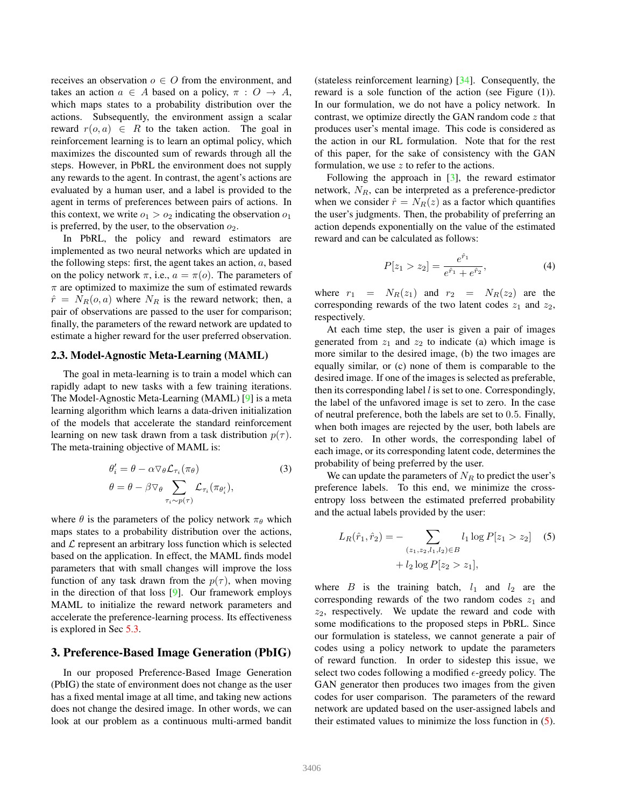receives an observation  $o \in O$  from the environment, and takes an action  $a \in A$  based on a policy,  $\pi : O \to A$ , which maps states to a probability distribution over the actions. Subsequently, the environment assign a scalar reward  $r(o, a) \in R$  to the taken action. The goal in reinforcement learning is to learn an optimal policy, which maximizes the discounted sum of rewards through all the steps. However, in PbRL the environment does not supply any rewards to the agent. In contrast, the agent's actions are evaluated by a human user, and a label is provided to the agent in terms of preferences between pairs of actions. In this context, we write  $o_1 > o_2$  indicating the observation  $o_1$ is preferred, by the user, to the observation  $o_2$ .

In PbRL, the policy and reward estimators are implemented as two neural networks which are updated in the following steps: first, the agent takes an action,  $a$ , based on the policy network  $\pi$ , i.e.,  $a = \pi(a)$ . The parameters of  $\pi$  are optimized to maximize the sum of estimated rewards  $\hat{r} = N_R(o, a)$  where  $N_R$  is the reward network; then, a pair of observations are passed to the user for comparison; finally, the parameters of the reward network are updated to estimate a higher reward for the user preferred observation.

## 2.3. Model-Agnostic Meta-Learning (MAML)

The goal in meta-learning is to train a model which can rapidly adapt to new tasks with a few training iterations. The Model-Agnostic Meta-Learning (MAML) [9] is a meta learning algorithm which learns a data-driven initialization of the models that accelerate the standard reinforcement learning on new task drawn from a task distribution  $p(\tau)$ . The meta-training objective of MAML is:

$$
\theta'_{i} = \theta - \alpha \nabla_{\theta} \mathcal{L}_{\tau_{i}}(\pi_{\theta})
$$
\n
$$
\theta = \theta - \beta \nabla_{\theta} \sum_{\tau_{i} \sim p(\tau)} \mathcal{L}_{\tau_{i}}(\pi_{\theta'_{i}}),
$$
\n(3)

where  $\theta$  is the parameters of the policy network  $\pi_{\theta}$  which maps states to a probability distribution over the actions, and  $L$  represent an arbitrary loss function which is selected based on the application. In effect, the MAML finds model parameters that with small changes will improve the loss function of any task drawn from the  $p(\tau)$ , when moving in the direction of that loss  $[9]$ . Our framework employs MAML to initialize the reward network parameters and accelerate the preference-learning process. Its effectiveness is explored in Sec 5.3.

# 3. Preference-Based Image Generation (PbIG)

In our proposed Preference-Based Image Generation (PbIG) the state of environment does not change as the user has a fixed mental image at all time, and taking new actions does not change the desired image. In other words, we can look at our problem as a continuous multi-armed bandit (stateless reinforcement learning) [34]. Consequently, the reward is a sole function of the action (see Figure (1)). In our formulation, we do not have a policy network. In contrast, we optimize directly the GAN random code  $z$  that produces user's mental image. This code is considered as the action in our RL formulation. Note that for the rest of this paper, for the sake of consistency with the GAN formulation, we use z to refer to the actions.

Following the approach in [3], the reward estimator network,  $N_R$ , can be interpreted as a preference-predictor when we consider  $\hat{r} = N_R(z)$  as a factor which quantifies the user's judgments. Then, the probability of preferring an action depends exponentially on the value of the estimated reward and can be calculated as follows:

$$
P[z_1 > z_2] = \frac{e^{\hat{r}_1}}{e^{\hat{r}_1} + e^{\hat{r}_2}},\tag{4}
$$

where  $r_1 = N_R(z_1)$  and  $r_2 = N_R(z_2)$  are the corresponding rewards of the two latent codes  $z_1$  and  $z_2$ , respectively.

At each time step, the user is given a pair of images generated from  $z_1$  and  $z_2$  to indicate (a) which image is more similar to the desired image, (b) the two images are equally similar, or (c) none of them is comparable to the desired image. If one of the images is selected as preferable, then its corresponding label  $l$  is set to one. Correspondingly, the label of the unfavored image is set to zero. In the case of neutral preference, both the labels are set to 0.5. Finally, when both images are rejected by the user, both labels are set to zero. In other words, the corresponding label of each image, or its corresponding latent code, determines the probability of being preferred by the user.

We can update the parameters of  $N_R$  to predict the user's preference labels. To this end, we minimize the crossentropy loss between the estimated preferred probability and the actual labels provided by the user:

$$
L_R(\hat{r}_1, \hat{r}_2) = - \sum_{(z_1, z_2, l_1, l_2) \in B} l_1 \log P[z_1 > z_2]
$$
 (5)  
+  $l_2 \log P[z_2 > z_1],$ 

where  $B$  is the training batch,  $l_1$  and  $l_2$  are the corresponding rewards of the two random codes  $z_1$  and  $z_2$ , respectively. We update the reward and code with some modifications to the proposed steps in PbRL. Since our formulation is stateless, we cannot generate a pair of codes using a policy network to update the parameters of reward function. In order to sidestep this issue, we select two codes following a modified  $\epsilon$ -greedy policy. The GAN generator then produces two images from the given codes for user comparison. The parameters of the reward network are updated based on the user-assigned labels and their estimated values to minimize the loss function in (5).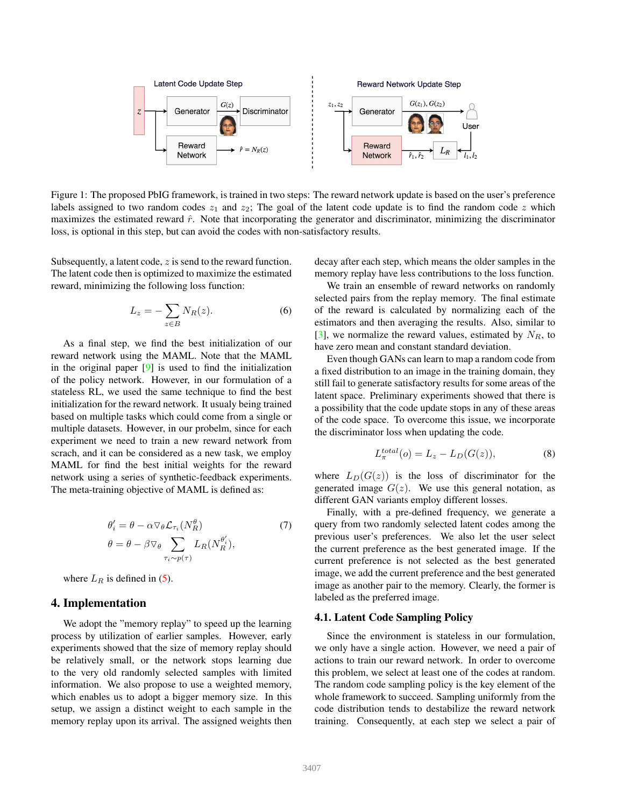

Figure 1: The proposed PbIG framework, is trained in two steps: The reward network update is based on the user's preference labels assigned to two random codes  $z_1$  and  $z_2$ ; The goal of the latent code update is to find the random code z which maximizes the estimated reward  $\hat{r}$ . Note that incorporating the generator and discriminator, minimizing the discriminator loss, is optional in this step, but can avoid the codes with non-satisfactory results.

Subsequently, a latent code, z is send to the reward function. The latent code then is optimized to maximize the estimated reward, minimizing the following loss function:

$$
L_z = -\sum_{z \in B} N_R(z). \tag{6}
$$

As a final step, we find the best initialization of our reward network using the MAML. Note that the MAML in the original paper  $[9]$  is used to find the initialization of the policy network. However, in our formulation of a stateless RL, we used the same technique to find the best initialization for the reward network. It usualy being trained based on multiple tasks which could come from a single or multiple datasets. However, in our probelm, since for each experiment we need to train a new reward network from scrach, and it can be considered as a new task, we employ MAML for find the best initial weights for the reward network using a series of synthetic-feedback experiments. The meta-training objective of MAML is defined as:

$$
\theta'_{i} = \theta - \alpha \nabla_{\theta} \mathcal{L}_{\tau_{i}}(N_{R}^{\theta})
$$
\n
$$
\theta = \theta - \beta \nabla_{\theta} \sum_{\tau_{i} \sim p(\tau)} L_{R}(N_{R}^{\theta'_{i}}),
$$
\n(7)

where  $L_R$  is defined in (5).

# 4. Implementation

We adopt the "memory replay" to speed up the learning process by utilization of earlier samples. However, early experiments showed that the size of memory replay should be relatively small, or the network stops learning due to the very old randomly selected samples with limited information. We also propose to use a weighted memory, which enables us to adopt a bigger memory size. In this setup, we assign a distinct weight to each sample in the memory replay upon its arrival. The assigned weights then decay after each step, which means the older samples in the memory replay have less contributions to the loss function.

We train an ensemble of reward networks on randomly selected pairs from the replay memory. The final estimate of the reward is calculated by normalizing each of the estimators and then averaging the results. Also, similar to [3], we normalize the reward values, estimated by  $N_R$ , to have zero mean and constant standard deviation.

Even though GANs can learn to map a random code from a fixed distribution to an image in the training domain, they still fail to generate satisfactory results for some areas of the latent space. Preliminary experiments showed that there is a possibility that the code update stops in any of these areas of the code space. To overcome this issue, we incorporate the discriminator loss when updating the code.

$$
L_{\pi}^{total}(o) = L_z - L_D(G(z)),\tag{8}
$$

where  $L_D(G(z))$  is the loss of discriminator for the generated image  $G(z)$ . We use this general notation, as different GAN variants employ different losses.

Finally, with a pre-defined frequency, we generate a query from two randomly selected latent codes among the previous user's preferences. We also let the user select the current preference as the best generated image. If the current preference is not selected as the best generated image, we add the current preference and the best generated image as another pair to the memory. Clearly, the former is labeled as the preferred image.

#### 4.1. Latent Code Sampling Policy

Since the environment is stateless in our formulation, we only have a single action. However, we need a pair of actions to train our reward network. In order to overcome this problem, we select at least one of the codes at random. The random code sampling policy is the key element of the whole framework to succeed. Sampling uniformly from the code distribution tends to destabilize the reward network training. Consequently, at each step we select a pair of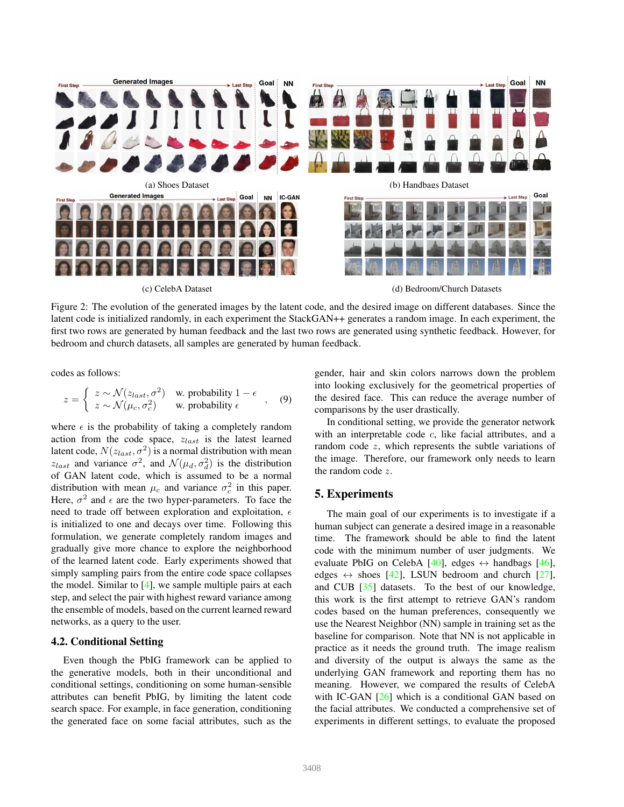

Figure 2: The evolution of the generated images by the latent code, and the desired image on different databases. Since the latent code is initialized randomly, in each experiment the StackGAN++ generates a random image. In each experiment, the first two rows are generated by human feedback and the last two rows are generated using synthetic feedback. However, for bedroom and church datasets, all samples are generated by human feedback.

codes as follows:

$$
z = \begin{cases} z \sim \mathcal{N}(z_{last}, \sigma^2) & \text{w. probability } 1 - \epsilon \\ z \sim \mathcal{N}(\mu_c, \sigma_c^2) & \text{w. probability } \epsilon \end{cases}, \quad (9)
$$

where  $\epsilon$  is the probability of taking a completely random action from the code space,  $z_{last}$  is the latest learned latent code,  $N(z_{last}, \sigma^2)$  is a normal distribution with mean  $z_{last}$  and variance  $\sigma^2$ , and  $\mathcal{N}(\mu_d, \sigma_d^2)$  is the distribution of GAN latent code, which is assumed to be a normal distribution with mean  $\mu_c$  and variance  $\sigma_c^2$  in this paper. Here,  $\sigma^2$  and  $\epsilon$  are the two hyper-parameters. To face the need to trade off between exploration and exploitation,  $\epsilon$ is initialized to one and decays over time. Following this formulation, we generate completely random images and gradually give more chance to explore the neighborhood of the learned latent code. Early experiments showed that simply sampling pairs from the entire code space collapses the model. Similar to  $[4]$ , we sample multiple pairs at each step, and select the pair with highest reward variance among the ensemble of models, based on the current learned reward networks, as a query to the user.

## 4.2. Conditional Setting

Even though the PbIG framework can be applied to the generative models, both in their unconditional and conditional settings, conditioning on some human-sensible attributes can benefit PbIG, by limiting the latent code search space. For example, in face generation, conditioning the generated face on some facial attributes, such as the gender, hair and skin colors narrows down the problem into looking exclusively for the geometrical properties of the desired face. This can reduce the average number of comparisons by the user drastically.

In conditional setting, we provide the generator network with an interpretable code c, like facial attributes, and a random code z, which represents the subtle variations of the image. Therefore, our framework only needs to learn the random code z.

# 5. Experiments

The main goal of our experiments is to investigate if a human subject can generate a desired image in a reasonable time. The framework should be able to find the latent code with the minimum number of user judgments. We evaluate PbIG on CelebA [40], edges  $\leftrightarrow$  handbags [46], edges  $\leftrightarrow$  shoes [42], LSUN bedroom and church [27], and CUB [35] datasets. To the best of our knowledge, this work is the first attempt to retrieve GAN's random codes based on the human preferences, consequently we use the Nearest Neighbor (NN) sample in training set as the baseline for comparison. Note that NN is not applicable in practice as it needs the ground truth. The image realism and diversity of the output is always the same as the underlying GAN framework and reporting them has no meaning. However, we compared the results of CelebA with IC-GAN [26] which is a conditional GAN based on the facial attributes. We conducted a comprehensive set of experiments in different settings, to evaluate the proposed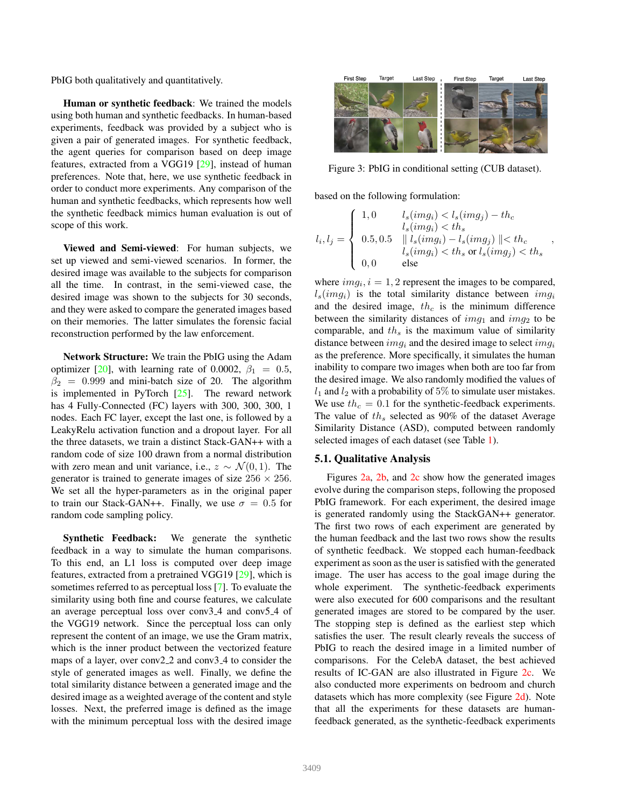PbIG both qualitatively and quantitatively.

Human or synthetic feedback: We trained the models using both human and synthetic feedbacks. In human-based experiments, feedback was provided by a subject who is given a pair of generated images. For synthetic feedback, the agent queries for comparison based on deep image features, extracted from a VGG19 [29], instead of human preferences. Note that, here, we use synthetic feedback in order to conduct more experiments. Any comparison of the human and synthetic feedbacks, which represents how well the synthetic feedback mimics human evaluation is out of scope of this work.

Viewed and Semi-viewed: For human subjects, we set up viewed and semi-viewed scenarios. In former, the desired image was available to the subjects for comparison all the time. In contrast, in the semi-viewed case, the desired image was shown to the subjects for 30 seconds, and they were asked to compare the generated images based on their memories. The latter simulates the forensic facial reconstruction performed by the law enforcement.

Network Structure: We train the PbIG using the Adam optimizer [20], with learning rate of 0.0002,  $\beta_1 = 0.5$ ,  $\beta_2$  = 0.999 and mini-batch size of 20. The algorithm is implemented in PyTorch  $[25]$ . The reward network has 4 Fully-Connected (FC) layers with 300, 300, 300, 1 nodes. Each FC layer, except the last one, is followed by a LeakyRelu activation function and a dropout layer. For all the three datasets, we train a distinct Stack-GAN++ with a random code of size 100 drawn from a normal distribution with zero mean and unit variance, i.e.,  $z \sim \mathcal{N}(0, 1)$ . The generator is trained to generate images of size  $256 \times 256$ . We set all the hyper-parameters as in the original paper to train our Stack-GAN++. Finally, we use  $\sigma = 0.5$  for random code sampling policy.

Synthetic Feedback: We generate the synthetic feedback in a way to simulate the human comparisons. To this end, an L1 loss is computed over deep image features, extracted from a pretrained VGG19 [29], which is sometimes referred to as perceptual loss [7]. To evaluate the similarity using both fine and course features, we calculate an average perceptual loss over conv3 4 and conv5 4 of the VGG19 network. Since the perceptual loss can only represent the content of an image, we use the Gram matrix, which is the inner product between the vectorized feature maps of a layer, over conv2.2 and conv3.4 to consider the style of generated images as well. Finally, we define the total similarity distance between a generated image and the desired image as a weighted average of the content and style losses. Next, the preferred image is defined as the image with the minimum perceptual loss with the desired image



Figure 3: PbIG in conditional setting (CUB dataset).

based on the following formulation:

$$
l_i, l_j = \begin{cases} 1, 0 & l_s(img_i) < l_s(img_j) - th_c \\ l_s(img_i) < th_s \\ 0.5, 0.5 & ||l_s(img_i) - l_s(img_j) || < th_c \\ l_s(img_i) < th_s \text{ or } l_s(img_j) < th_s \\ 0, 0 & \text{else} \end{cases},
$$

where  $img_i, i = 1, 2$  represent the images to be compared,  $l_s(img_i)$  is the total similarity distance between  $img_i$ and the desired image,  $th_c$  is the minimum difference between the similarity distances of  $img_1$  and  $img_2$  to be comparable, and  $th_s$  is the maximum value of similarity distance between  $img_i$  and the desired image to select  $img_i$ as the preference. More specifically, it simulates the human inability to compare two images when both are too far from the desired image. We also randomly modified the values of  $l_1$  and  $l_2$  with a probability of 5% to simulate user mistakes. We use  $th_c = 0.1$  for the synthetic-feedback experiments. The value of  $th_s$  selected as 90% of the dataset Average Similarity Distance (ASD), computed between randomly selected images of each dataset (see Table 1).

#### 5.1. Qualitative Analysis

Figures 2a, 2b, and 2c show how the generated images evolve during the comparison steps, following the proposed PbIG framework. For each experiment, the desired image is generated randomly using the StackGAN++ generator. The first two rows of each experiment are generated by the human feedback and the last two rows show the results of synthetic feedback. We stopped each human-feedback experiment as soon as the user is satisfied with the generated image. The user has access to the goal image during the whole experiment. The synthetic-feedback experiments were also executed for 600 comparisons and the resultant generated images are stored to be compared by the user. The stopping step is defined as the earliest step which satisfies the user. The result clearly reveals the success of PbIG to reach the desired image in a limited number of comparisons. For the CelebA dataset, the best achieved results of IC-GAN are also illustrated in Figure 2c. We also conducted more experiments on bedroom and church datasets which has more complexity (see Figure 2d). Note that all the experiments for these datasets are humanfeedback generated, as the synthetic-feedback experiments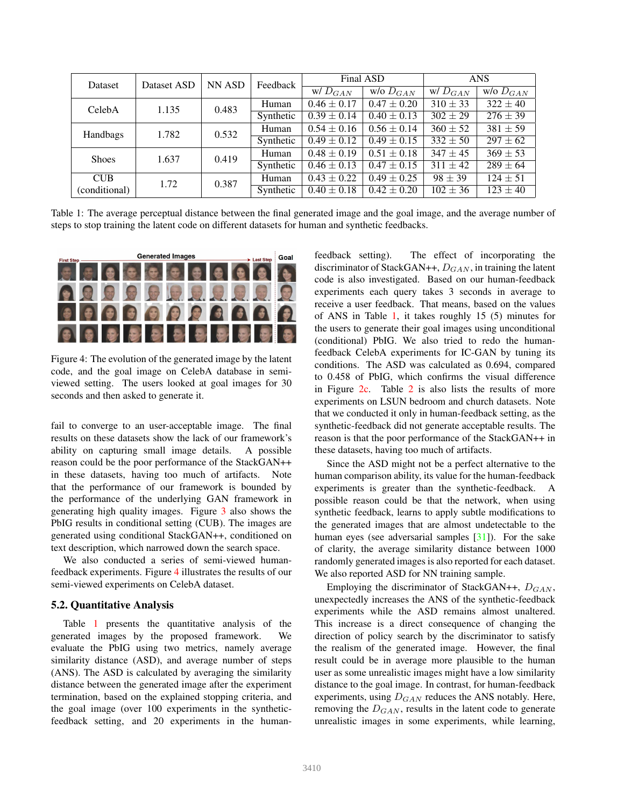| Dataset       | Dataset ASD | NN ASD | Feedback  | Final ASD                  |                 | <b>ANS</b>   |               |
|---------------|-------------|--------|-----------|----------------------------|-----------------|--------------|---------------|
|               |             |        |           | w/ $D_{GAN}$               | w/o $D_{GAN}$   | $W/D_{GAN}$  | $W/O D_{GAN}$ |
| CelebA        | 1.135       | 0.483  | Human     | $0.46 \pm 0.17$            | $0.47 \pm 0.20$ | $310 \pm 33$ | $322 \pm 40$  |
|               |             |        | Synthetic | $0.39 \pm 0.14$            | $0.40 \pm 0.13$ | $302 \pm 29$ | $276 \pm 39$  |
| Handbags      | 1.782       | 0.532  | Human     | $0.54 \pm 0.16$            | $0.56 \pm 0.14$ | $360 \pm 52$ | $381 \pm 59$  |
|               |             |        | Synthetic | $0.49 \pm 0.12$            | $0.49 \pm 0.15$ | $332 \pm 50$ | $297 \pm 62$  |
| <b>Shoes</b>  | 1.637       | 0.419  | Human     | $0.48 \pm 0.19$            | $0.51 \pm 0.18$ | $347 \pm 45$ | $369 \pm 53$  |
|               |             |        | Synthetic | $\overline{0.46 \pm 0.13}$ | $0.47 \pm 0.15$ | $311 \pm 42$ | $289 \pm 64$  |
| <b>CUB</b>    | 1.72        | 0.387  | Human     | $0.43 \pm 0.22$            | $0.49 \pm 0.25$ | $98 + 39$    | $124 \pm 51$  |
| (conditional) |             |        | Synthetic | $0.40 \pm 0.18$            | $0.42 \pm 0.20$ | $102 \pm 36$ | $123 \pm 40$  |

Table 1: The average perceptual distance between the final generated image and the goal image, and the average number of steps to stop training the latent code on different datasets for human and synthetic feedbacks.



Figure 4: The evolution of the generated image by the latent code, and the goal image on CelebA database in semiviewed setting. The users looked at goal images for 30 seconds and then asked to generate it.

fail to converge to an user-acceptable image. The final results on these datasets show the lack of our framework's ability on capturing small image details. A possible reason could be the poor performance of the StackGAN++ in these datasets, having too much of artifacts. Note that the performance of our framework is bounded by the performance of the underlying GAN framework in generating high quality images. Figure 3 also shows the PbIG results in conditional setting (CUB). The images are generated using conditional StackGAN++, conditioned on text description, which narrowed down the search space.

We also conducted a series of semi-viewed humanfeedback experiments. Figure 4 illustrates the results of our semi-viewed experiments on CelebA dataset.

## 5.2. Quantitative Analysis

Table 1 presents the quantitative analysis of the generated images by the proposed framework. We evaluate the PbIG using two metrics, namely average similarity distance (ASD), and average number of steps (ANS). The ASD is calculated by averaging the similarity distance between the generated image after the experiment termination, based on the explained stopping criteria, and the goal image (over 100 experiments in the syntheticfeedback setting, and 20 experiments in the humanfeedback setting). The effect of incorporating the discriminator of StackGAN++,  $D_{GAN}$ , in training the latent code is also investigated. Based on our human-feedback experiments each query takes 3 seconds in average to receive a user feedback. That means, based on the values of ANS in Table 1, it takes roughly 15 (5) minutes for the users to generate their goal images using unconditional (conditional) PbIG. We also tried to redo the humanfeedback CelebA experiments for IC-GAN by tuning its conditions. The ASD was calculated as 0.694, compared to 0.458 of PbIG, which confirms the visual difference in Figure 2c. Table 2 is also lists the results of more experiments on LSUN bedroom and church datasets. Note that we conducted it only in human-feedback setting, as the synthetic-feedback did not generate acceptable results. The reason is that the poor performance of the StackGAN++ in these datasets, having too much of artifacts.

Since the ASD might not be a perfect alternative to the human comparison ability, its value for the human-feedback experiments is greater than the synthetic-feedback. A possible reason could be that the network, when using synthetic feedback, learns to apply subtle modifications to the generated images that are almost undetectable to the human eyes (see adversarial samples  $[31]$ ). For the sake of clarity, the average similarity distance between 1000 randomly generated images is also reported for each dataset. We also reported ASD for NN training sample.

Employing the discriminator of StackGAN++,  $D_{GAN}$ , unexpectedly increases the ANS of the synthetic-feedback experiments while the ASD remains almost unaltered. This increase is a direct consequence of changing the direction of policy search by the discriminator to satisfy the realism of the generated image. However, the final result could be in average more plausible to the human user as some unrealistic images might have a low similarity distance to the goal image. In contrast, for human-feedback experiments, using  $D_{GAN}$  reduces the ANS notably. Here, removing the  $D_{GAN}$ , results in the latent code to generate unrealistic images in some experiments, while learning,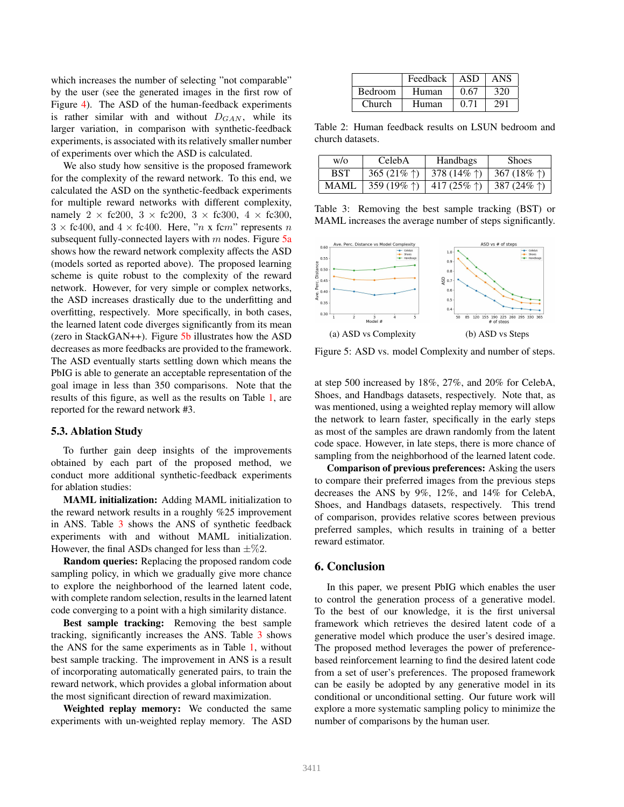which increases the number of selecting "not comparable" by the user (see the generated images in the first row of Figure 4). The ASD of the human-feedback experiments is rather similar with and without  $D_{GAN}$ , while its larger variation, in comparison with synthetic-feedback experiments, is associated with its relatively smaller number of experiments over which the ASD is calculated.

We also study how sensitive is the proposed framework for the complexity of the reward network. To this end, we calculated the ASD on the synthetic-feedback experiments for multiple reward networks with different complexity, namely  $2 \times \text{fc200}$ ,  $3 \times \text{fc200}$ ,  $3 \times \text{fc300}$ ,  $4 \times \text{fc300}$ ,  $3 \times$  fc400, and  $4 \times$  fc400. Here, "*n* x fcm" represents *n* subsequent fully-connected layers with  $m$  nodes. Figure  $5a$ shows how the reward network complexity affects the ASD (models sorted as reported above). The proposed learning scheme is quite robust to the complexity of the reward network. However, for very simple or complex networks, the ASD increases drastically due to the underfitting and overfitting, respectively. More specifically, in both cases, the learned latent code diverges significantly from its mean (zero in StackGAN++). Figure 5b illustrates how the ASD decreases as more feedbacks are provided to the framework. The ASD eventually starts settling down which means the PbIG is able to generate an acceptable representation of the goal image in less than 350 comparisons. Note that the results of this figure, as well as the results on Table 1, are reported for the reward network #3.

## 5.3. Ablation Study

To further gain deep insights of the improvements obtained by each part of the proposed method, we conduct more additional synthetic-feedback experiments for ablation studies:

MAML initialization: Adding MAML initialization to the reward network results in a roughly %25 improvement in ANS. Table 3 shows the ANS of synthetic feedback experiments with and without MAML initialization. However, the final ASDs changed for less than  $\pm\%2$ .

Random queries: Replacing the proposed random code sampling policy, in which we gradually give more chance to explore the neighborhood of the learned latent code, with complete random selection, results in the learned latent code converging to a point with a high similarity distance.

Best sample tracking: Removing the best sample tracking, significantly increases the ANS. Table 3 shows the ANS for the same experiments as in Table 1, without best sample tracking. The improvement in ANS is a result of incorporating automatically generated pairs, to train the reward network, which provides a global information about the most significant direction of reward maximization.

Weighted replay memory: We conducted the same experiments with un-weighted replay memory. The ASD

|                | Feedback | ASD  | ANS |
|----------------|----------|------|-----|
| <b>Bedroom</b> | Human    | 0.67 | 320 |
| Church         | Human    | O 71 | 291 |

Table 2: Human feedback results on LSUN bedroom and church datasets.

| W/0  | CelebA                | Handbags              | <b>Shoes</b>          |
|------|-----------------------|-----------------------|-----------------------|
| BST  | 365 $(21\% \text{ )}$ | 378 $(14\% \text{ )}$ | 367 $(18\% \text{ )}$ |
| MAML | 359 (19% $\uparrow$ ) | 417 (25% $\uparrow$ ) | 387 $(24\% \text{ )}$ |

Table 3: Removing the best sample tracking (BST) or MAML increases the average number of steps significantly.



Figure 5: ASD vs. model Complexity and number of steps.

at step 500 increased by 18%, 27%, and 20% for CelebA, Shoes, and Handbags datasets, respectively. Note that, as was mentioned, using a weighted replay memory will allow the network to learn faster, specifically in the early steps as most of the samples are drawn randomly from the latent code space. However, in late steps, there is more chance of sampling from the neighborhood of the learned latent code.

Comparison of previous preferences: Asking the users to compare their preferred images from the previous steps decreases the ANS by 9%, 12%, and 14% for CelebA, Shoes, and Handbags datasets, respectively. This trend of comparison, provides relative scores between previous preferred samples, which results in training of a better reward estimator.

# 6. Conclusion

In this paper, we present PbIG which enables the user to control the generation process of a generative model. To the best of our knowledge, it is the first universal framework which retrieves the desired latent code of a generative model which produce the user's desired image. The proposed method leverages the power of preferencebased reinforcement learning to find the desired latent code from a set of user's preferences. The proposed framework can be easily be adopted by any generative model in its conditional or unconditional setting. Our future work will explore a more systematic sampling policy to minimize the number of comparisons by the human user.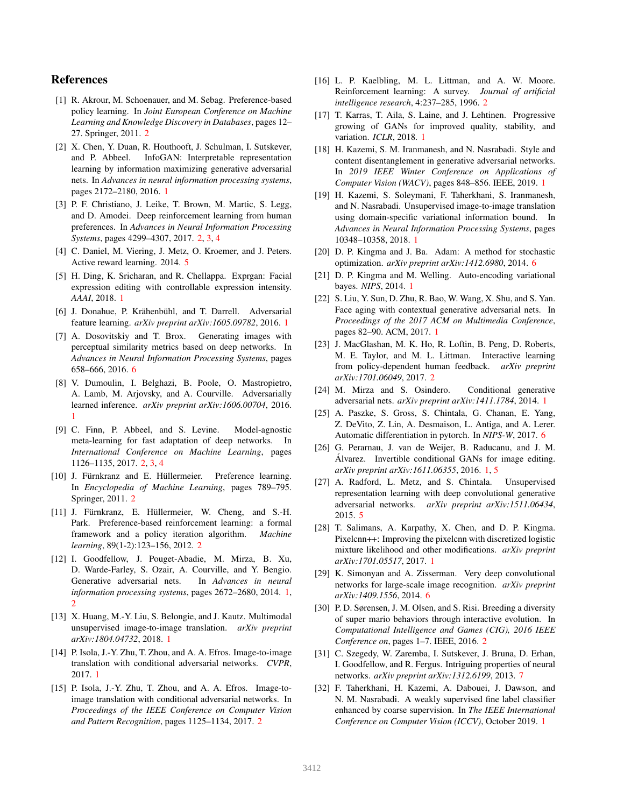# References

- [1] R. Akrour, M. Schoenauer, and M. Sebag. Preference-based policy learning. In *Joint European Conference on Machine Learning and Knowledge Discovery in Databases*, pages 12– 27. Springer, 2011. 2
- [2] X. Chen, Y. Duan, R. Houthooft, J. Schulman, I. Sutskever, and P. Abbeel. InfoGAN: Interpretable representation learning by information maximizing generative adversarial nets. In *Advances in neural information processing systems*, pages 2172–2180, 2016. 1
- [3] P. F. Christiano, J. Leike, T. Brown, M. Martic, S. Legg, and D. Amodei. Deep reinforcement learning from human preferences. In *Advances in Neural Information Processing Systems*, pages 4299–4307, 2017. 2, 3, 4
- [4] C. Daniel, M. Viering, J. Metz, O. Kroemer, and J. Peters. Active reward learning. 2014. 5
- [5] H. Ding, K. Sricharan, and R. Chellappa. Exprgan: Facial expression editing with controllable expression intensity. *AAAI*, 2018. 1
- [6] J. Donahue, P. Krähenbühl, and T. Darrell. Adversarial feature learning. *arXiv preprint arXiv:1605.09782*, 2016. 1
- [7] A. Dosovitskiy and T. Brox. Generating images with perceptual similarity metrics based on deep networks. In *Advances in Neural Information Processing Systems*, pages 658–666, 2016. 6
- [8] V. Dumoulin, I. Belghazi, B. Poole, O. Mastropietro, A. Lamb, M. Arjovsky, and A. Courville. Adversarially learned inference. *arXiv preprint arXiv:1606.00704*, 2016. 1
- [9] C. Finn, P. Abbeel, and S. Levine. Model-agnostic meta-learning for fast adaptation of deep networks. In *International Conference on Machine Learning*, pages 1126–1135, 2017. 2, 3, 4
- [10] J. Fürnkranz and E. Hüllermeier. Preference learning. In *Encyclopedia of Machine Learning*, pages 789–795. Springer, 2011. 2
- [11] J. Fürnkranz, E. Hüllermeier, W. Cheng, and S.-H. Park. Preference-based reinforcement learning: a formal framework and a policy iteration algorithm. *Machine learning*, 89(1-2):123–156, 2012. 2
- [12] I. Goodfellow, J. Pouget-Abadie, M. Mirza, B. Xu, D. Warde-Farley, S. Ozair, A. Courville, and Y. Bengio. Generative adversarial nets. In *Advances in neural information processing systems*, pages 2672–2680, 2014. 1, 2
- [13] X. Huang, M.-Y. Liu, S. Belongie, and J. Kautz. Multimodal unsupervised image-to-image translation. *arXiv preprint arXiv:1804.04732*, 2018. 1
- [14] P. Isola, J.-Y. Zhu, T. Zhou, and A. A. Efros. Image-to-image translation with conditional adversarial networks. *CVPR*, 2017. 1
- [15] P. Isola, J.-Y. Zhu, T. Zhou, and A. A. Efros. Image-toimage translation with conditional adversarial networks. In *Proceedings of the IEEE Conference on Computer Vision and Pattern Recognition*, pages 1125–1134, 2017. 2
- [16] L. P. Kaelbling, M. L. Littman, and A. W. Moore. Reinforcement learning: A survey. *Journal of artificial intelligence research*, 4:237–285, 1996. 2
- [17] T. Karras, T. Aila, S. Laine, and J. Lehtinen. Progressive growing of GANs for improved quality, stability, and variation. *ICLR*, 2018. 1
- [18] H. Kazemi, S. M. Iranmanesh, and N. Nasrabadi. Style and content disentanglement in generative adversarial networks. In *2019 IEEE Winter Conference on Applications of Computer Vision (WACV)*, pages 848–856. IEEE, 2019. 1
- [19] H. Kazemi, S. Soleymani, F. Taherkhani, S. Iranmanesh, and N. Nasrabadi. Unsupervised image-to-image translation using domain-specific variational information bound. In *Advances in Neural Information Processing Systems*, pages 10348–10358, 2018. 1
- [20] D. P. Kingma and J. Ba. Adam: A method for stochastic optimization. *arXiv preprint arXiv:1412.6980*, 2014. 6
- [21] D. P. Kingma and M. Welling. Auto-encoding variational bayes. *NIPS*, 2014. 1
- [22] S. Liu, Y. Sun, D. Zhu, R. Bao, W. Wang, X. Shu, and S. Yan. Face aging with contextual generative adversarial nets. In *Proceedings of the 2017 ACM on Multimedia Conference*, pages 82–90. ACM, 2017. 1
- [23] J. MacGlashan, M. K. Ho, R. Loftin, B. Peng, D. Roberts, M. E. Taylor, and M. L. Littman. Interactive learning from policy-dependent human feedback. *arXiv preprint arXiv:1701.06049*, 2017. 2
- [24] M. Mirza and S. Osindero. Conditional generative adversarial nets. *arXiv preprint arXiv:1411.1784*, 2014. 1
- [25] A. Paszke, S. Gross, S. Chintala, G. Chanan, E. Yang, Z. DeVito, Z. Lin, A. Desmaison, L. Antiga, and A. Lerer. Automatic differentiation in pytorch. In *NIPS-W*, 2017. 6
- [26] G. Perarnau, J. van de Weijer, B. Raducanu, and J. M. Alvarez. Invertible conditional GANs for image editing. ´ *arXiv preprint arXiv:1611.06355*, 2016. 1, 5
- [27] A. Radford, L. Metz, and S. Chintala. Unsupervised representation learning with deep convolutional generative adversarial networks. *arXiv preprint arXiv:1511.06434*, 2015. 5
- [28] T. Salimans, A. Karpathy, X. Chen, and D. P. Kingma. Pixelcnn++: Improving the pixelcnn with discretized logistic mixture likelihood and other modifications. *arXiv preprint arXiv:1701.05517*, 2017. 1
- [29] K. Simonyan and A. Zisserman. Very deep convolutional networks for large-scale image recognition. *arXiv preprint arXiv:1409.1556*, 2014. 6
- [30] P. D. Sørensen, J. M. Olsen, and S. Risi. Breeding a diversity of super mario behaviors through interactive evolution. In *Computational Intelligence and Games (CIG), 2016 IEEE Conference on*, pages 1–7. IEEE, 2016. 2
- [31] C. Szegedy, W. Zaremba, I. Sutskever, J. Bruna, D. Erhan, I. Goodfellow, and R. Fergus. Intriguing properties of neural networks. *arXiv preprint arXiv:1312.6199*, 2013. 7
- [32] F. Taherkhani, H. Kazemi, A. Dabouei, J. Dawson, and N. M. Nasrabadi. A weakly supervised fine label classifier enhanced by coarse supervision. In *The IEEE International Conference on Computer Vision (ICCV)*, October 2019. 1